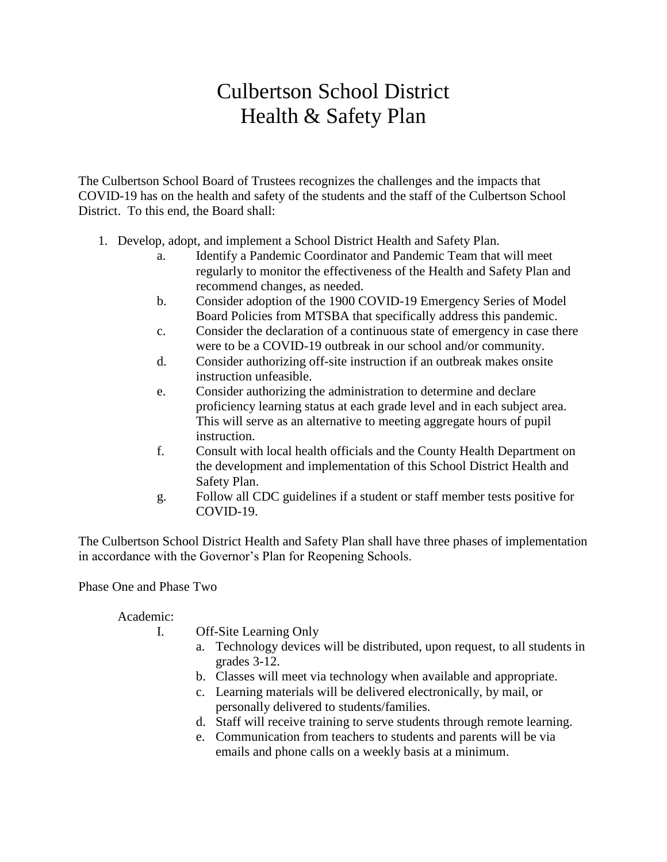## Culbertson School District Health & Safety Plan

The Culbertson School Board of Trustees recognizes the challenges and the impacts that COVID-19 has on the health and safety of the students and the staff of the Culbertson School District. To this end, the Board shall:

- 1. Develop, adopt, and implement a School District Health and Safety Plan.
	- a. Identify a Pandemic Coordinator and Pandemic Team that will meet regularly to monitor the effectiveness of the Health and Safety Plan and recommend changes, as needed.
	- b. Consider adoption of the 1900 COVID-19 Emergency Series of Model Board Policies from MTSBA that specifically address this pandemic.
	- c. Consider the declaration of a continuous state of emergency in case there were to be a COVID-19 outbreak in our school and/or community.
	- d. Consider authorizing off-site instruction if an outbreak makes onsite instruction unfeasible.
	- e. Consider authorizing the administration to determine and declare proficiency learning status at each grade level and in each subject area. This will serve as an alternative to meeting aggregate hours of pupil instruction.
	- f. Consult with local health officials and the County Health Department on the development and implementation of this School District Health and Safety Plan.
	- g. Follow all CDC guidelines if a student or staff member tests positive for COVID-19.

The Culbertson School District Health and Safety Plan shall have three phases of implementation in accordance with the Governor's Plan for Reopening Schools.

Phase One and Phase Two

Academic:

- I. Off-Site Learning Only
	- a. Technology devices will be distributed, upon request, to all students in grades 3-12.
	- b. Classes will meet via technology when available and appropriate.
	- c. Learning materials will be delivered electronically, by mail, or personally delivered to students/families.
	- d. Staff will receive training to serve students through remote learning.
	- e. Communication from teachers to students and parents will be via emails and phone calls on a weekly basis at a minimum.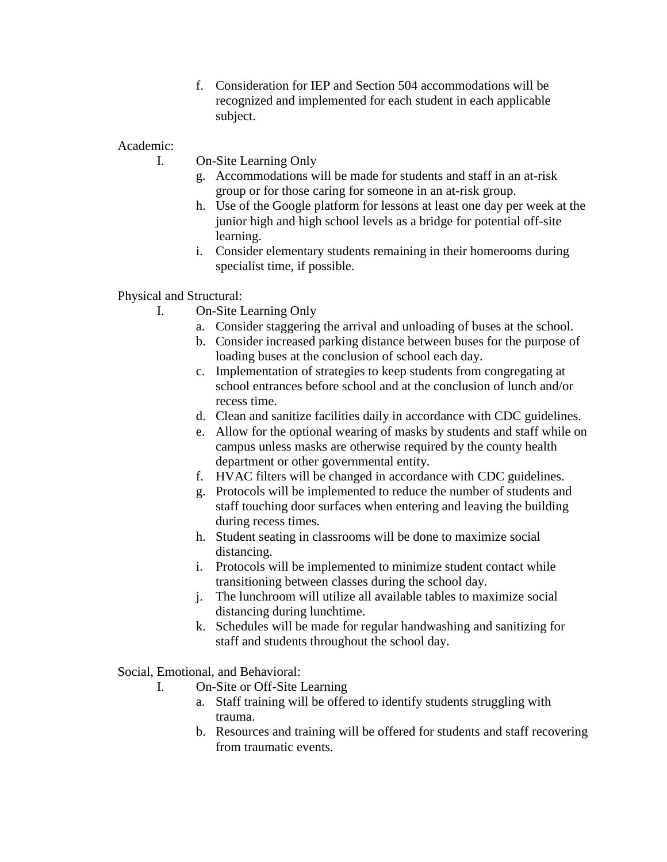f. Consideration for IEP and Section 504 accommodations will be recognized and implemented for each student in each applicable subject.

Academic:

I. On-Site Learning Only

- g. Accommodations will be made for students and staff in an at-risk group or for those caring for someone in an at-risk group.
- h. Use of the Google platform for lessons at least one day per week at the junior high and high school levels as a bridge for potential off-site learning.
- i. Consider elementary students remaining in their homerooms during specialist time, if possible.

Physical and Structural:

- I. On-Site Learning Only
	- a. Consider staggering the arrival and unloading of buses at the school.
	- b. Consider increased parking distance between buses for the purpose of loading buses at the conclusion of school each day.
	- c. Implementation of strategies to keep students from congregating at school entrances before school and at the conclusion of lunch and/or recess time.
	- d. Clean and sanitize facilities daily in accordance with CDC guidelines.
	- e. Allow for the optional wearing of masks by students and staff while on campus unless masks are otherwise required by the county health department or other governmental entity.
	- f. HVAC filters will be changed in accordance with CDC guidelines.
	- g. Protocols will be implemented to reduce the number of students and staff touching door surfaces when entering and leaving the building during recess times.
	- h. Student seating in classrooms will be done to maximize social distancing.
	- i. Protocols will be implemented to minimize student contact while transitioning between classes during the school day.
	- j. The lunchroom will utilize all available tables to maximize social distancing during lunchtime.
	- k. Schedules will be made for regular handwashing and sanitizing for staff and students throughout the school day.

Social, Emotional, and Behavioral:

- I. On-Site or Off-Site Learning
	- a. Staff training will be offered to identify students struggling with trauma.
	- b. Resources and training will be offered for students and staff recovering from traumatic events.